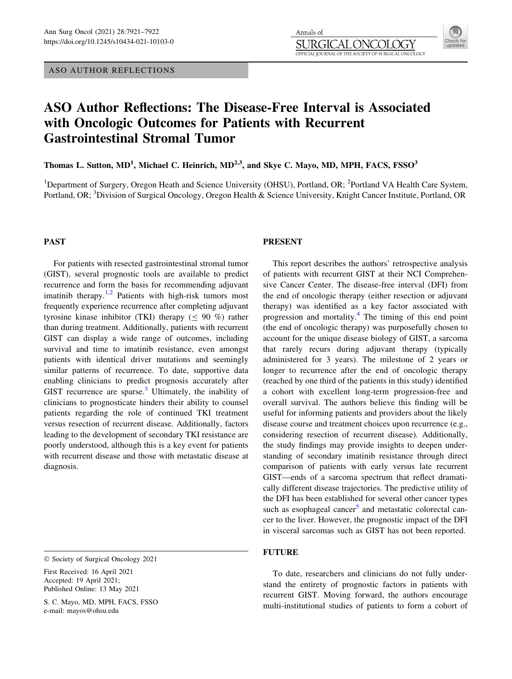ASO AUTHOR REFLECTIONS

Annals of **SURGI**  $\chi$   $\chi$   $\chi$ OFFICIAL JOURNAL OF THE SOCIETY OF SURGICAL ONCOLOGY

# ASO Author Reflections: The Disease-Free Interval is Associated with Oncologic Outcomes for Patients with Recurrent Gastrointestinal Stromal Tumor

Thomas L. Sutton, MD<sup>1</sup>, Michael C. Heinrich, MD<sup>2,3</sup>, and Skye C. Mayo, MD, MPH, FACS, FSSO<sup>3</sup>

<sup>1</sup>Department of Surgery, Oregon Heath and Science University (OHSU), Portland, OR; <sup>2</sup>Portland VA Health Care System, Portland, OR; <sup>3</sup>Division of Surgical Oncology, Oregon Health & Science University, Knight Cancer Institute, Portland, OR

## PAST

For patients with resected gastrointestinal stromal tumor (GIST), several prognostic tools are available to predict recurrence and form the basis for recommending adjuvant imatinib therapy.<sup>[1,2](#page-1-0)</sup> Patients with high-risk tumors most frequently experience recurrence after completing adjuvant tyrosine kinase inhibitor (TKI) therapy  $($  < 90 %) rather than during treatment. Additionally, patients with recurrent GIST can display a wide range of outcomes, including survival and time to imatinib resistance, even amongst patients with identical driver mutations and seemingly similar patterns of recurrence. To date, supportive data enabling clinicians to predict prognosis accurately after GIST recurrence are sparse. $3$  Ultimately, the inability of clinicians to prognosticate hinders their ability to counsel patients regarding the role of continued TKI treatment versus resection of recurrent disease. Additionally, factors leading to the development of secondary TKI resistance are poorly understood, although this is a key event for patients with recurrent disease and those with metastatic disease at diagnosis.

## PRESENT

This report describes the authors' retrospective analysis of patients with recurrent GIST at their NCI Comprehensive Cancer Center. The disease-free interval (DFI) from the end of oncologic therapy (either resection or adjuvant therapy) was identified as a key factor associated with progression and mortality.[4](#page-1-0) The timing of this end point (the end of oncologic therapy) was purposefully chosen to account for the unique disease biology of GIST, a sarcoma that rarely recurs during adjuvant therapy (typically administered for 3 years). The milestone of 2 years or longer to recurrence after the end of oncologic therapy (reached by one third of the patients in this study) identified a cohort with excellent long-term progression-free and overall survival. The authors believe this finding will be useful for informing patients and providers about the likely disease course and treatment choices upon recurrence (e.g., considering resection of recurrent disease). Additionally, the study findings may provide insights to deepen understanding of secondary imatinib resistance through direct comparison of patients with early versus late recurrent GIST—ends of a sarcoma spectrum that reflect dramatically different disease trajectories. The predictive utility of the DFI has been established for several other cancer types such as esophageal cancer $<sup>5</sup>$  and metastatic colorectal can-</sup> cer to the liver. However, the prognostic impact of the DFI in visceral sarcomas such as GIST has not been reported.

## FUTURE

To date, researchers and clinicians do not fully understand the entirety of prognostic factors in patients with recurrent GIST. Moving forward, the authors encourage multi-institutional studies of patients to form a cohort of

 $©$  Society of Surgical Oncology 2021

First Received: 16 April 2021 Accepted: 19 April 2021; Published Online: 13 May 2021

S. C. Mayo, MD, MPH, FACS, FSSO e-mail: mayos@ohsu.edu